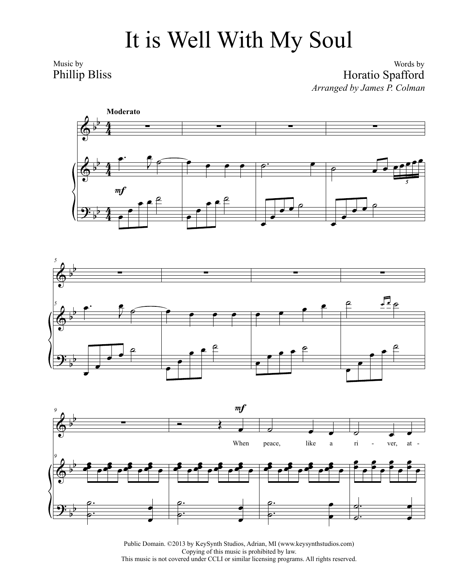## It is Well With My Soul

Music by Phillip Bliss

## Words by Horatio Spafford *Arranged by James P. Colman*







Public Domain. ©2013 by KeySynth Studios, Adrian, MI (www.keysynthstudios.com) Copying of this music is prohibited by law. This music is not covered under CCLI or similar licensing programs. All rights reserved.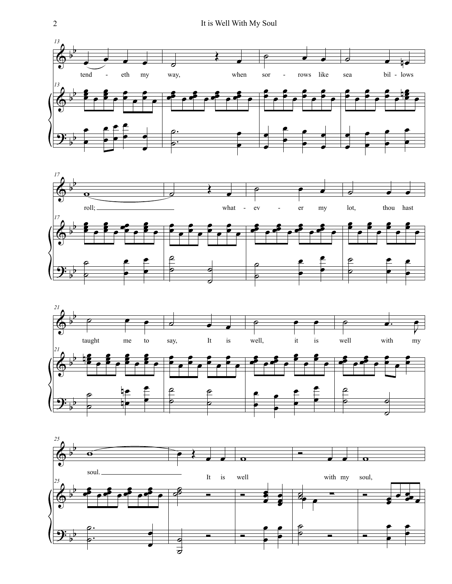